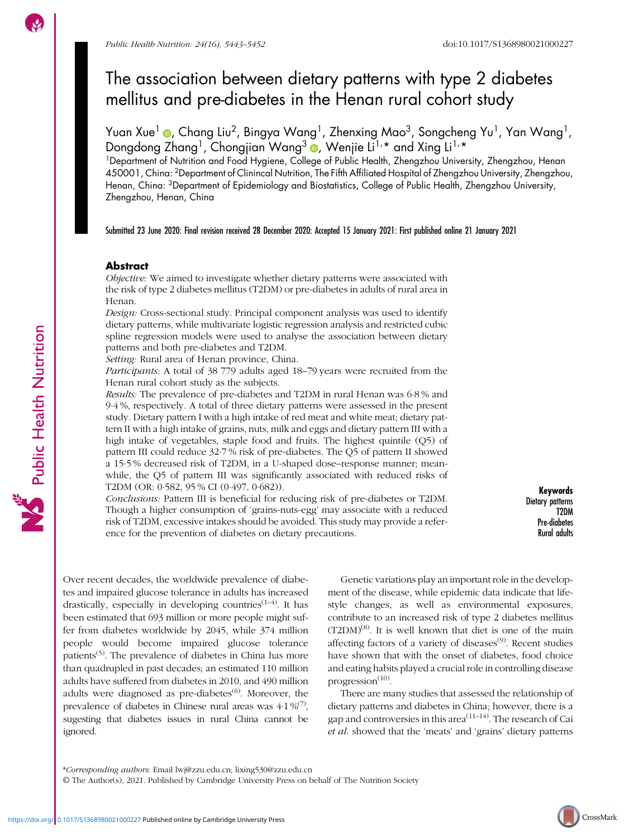# The association between dietary patterns with type 2 diabetes mellitus and pre-diabetes in the Henan rural cohort study

Yuan Xue<sup>1</sup> , Chang Liu<sup>2</sup>, Bingya Wang<sup>1</sup>, Zhenxing Mao<sup>3</sup>, Songcheng Yu<sup>1</sup>, Yan Wang<sup>1</sup>, Dongdong Zhang<sup>1</sup>, Chongjian Wang<sup>3</sup> (D, Wenjie Li<sup>1,\*</sup> and Xing Li<sup>1,\*</sup>

<sup>1</sup>Department of Nutrition and Food Hygiene, College of Public Health, Zhengzhou University, Zhengzhou, Henan 450001, China: 2Department of Clinincal Nutrition, The Fifth Affiliated Hospital of Zhengzhou University, Zhengzhou, Henan, China: 3Department of Epidemiology and Biostatistics, College of Public Health, Zhengzhou University, Zhengzhou, Henan, China

Submitted 23 June 2020: Final revision received 28 December 2020: Accepted 15 January 2021: First published online 21 January 2021

# Abstract

Objective: We aimed to investigate whether dietary patterns were associated with the risk of type 2 diabetes mellitus (T2DM) or pre-diabetes in adults of rural area in Henan.

Design: Cross-sectional study. Principal component analysis was used to identify dietary patterns, while multivariate logistic regression analysis and restricted cubic spline regression models were used to analyse the association between dietary patterns and both pre-diabetes and T2DM.

Setting: Rural area of Henan province, China.

Participants: A total of 38 779 adults aged 18–79 years were recruited from the Henan rural cohort study as the subjects.

Results: The prevalence of pre-diabetes and T2DM in rural Henan was 6·8 % and 9·4 %, respectively. A total of three dietary patterns were assessed in the present study. Dietary pattern I with a high intake of red meat and white meat; dietary pattern II with a high intake of grains, nuts, milk and eggs and dietary pattern III with a high intake of vegetables, staple food and fruits. The highest quintile (Q5) of pattern III could reduce 32·7 % risk of pre-diabetes. The Q5 of pattern II showed a 15·5 % decreased risk of T2DM, in a U-shaped dose–response manner; meanwhile, the Q5 of pattern III was significantly associated with reduced risks of T2DM (OR: 0·582, 95 % CI (0·497, 0·682)).

Conclusions: Pattern III is beneficial for reducing risk of pre-diabetes or T2DM. Though a higher consumption of 'grains-nuts-egg' may associate with a reduced risk of T2DM, excessive intakes should be avoided. This study may provide a reference for the prevention of diabetes on dietary precautions.

Keywords Dietary patterns T2DM Pre-diabetes Rural adults

Over recent decades, the worldwide prevalence of diabetes and impaired glucose tolerance in adults has increased drastically, especially in developing countries<sup> $(1-4)$  $(1-4)$  $(1-4)$ </sup>. It has been estimated that 693 million or more people might suffer from diabetes worldwide by 2045, while 374 million people would become impaired glucose tolerance patients<sup> $(5)$ </sup>. The prevalence of diabetes in China has more than quadrupled in past decades; an estimated 110 million adults have suffered from diabetes in 2010, and 490 million adults were diagnosed as pre-diabetes $^{(6)}$  $^{(6)}$  $^{(6)}$ . Moreover, the prevalence of diabetes in Chinese rural areas was  $4.1\%$ <sup>[\(7](#page-8-0))</sup>, sugesting that diabetes issues in rural China cannot be ignored.

Genetic variations play an important role in the development of the disease, while epidemic data indicate that lifestyle changes, as well as environmental exposures, contribute to an increased risk of type 2 diabetes mellitus  $(T2DM)^{(8)}$  $(T2DM)^{(8)}$  $(T2DM)^{(8)}$ . It is well known that diet is one of the main affecting factors of a variety of diseases<sup>[\(9\)](#page-8-0)</sup>. Recent studies have shown that with the onset of diabetes, food choice and eating habits played a crucial role in controlling disease progression $^{(10)}$  $^{(10)}$  $^{(10)}$ .

There are many studies that assessed the relationship of dietary patterns and diabetes in China; however, there is a gap and controversies in this area<sup> $(11-14)$  $(11-14)$  $(11-14)$  $(11-14)$ </sup>. The research of Cai et al. showed that the 'meats' and 'grains' dietary patterns

© The Author(s), 2021. Published by Cambridge University Press on behalf of The Nutrition Society

<sup>\*</sup>Corresponding authors: Email lwj@zzu.edu.cn; lixing530@zzu.edu.cn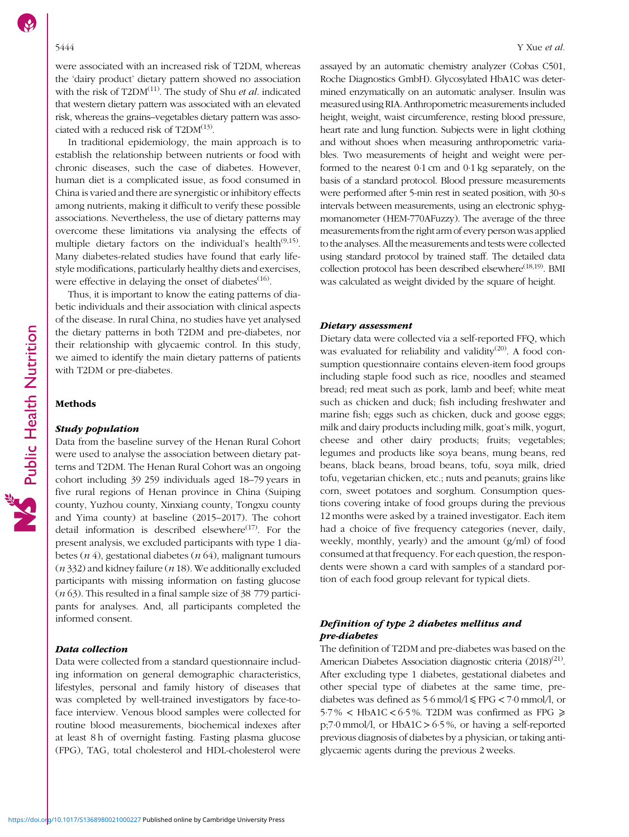were associated with an increased risk of T2DM, whereas the 'dairy product' dietary pattern showed no association with the risk of  $T2DM^{(11)}$  $T2DM^{(11)}$  $T2DM^{(11)}$ . The study of Shu *et al.* indicated that western dietary pattern was associated with an elevated risk, whereas the grains–vegetables dietary pattern was associated with a reduced risk of  $T2DM^{(13)}$  $T2DM^{(13)}$  $T2DM^{(13)}$ .

In traditional epidemiology, the main approach is to establish the relationship between nutrients or food with chronic diseases, such the case of diabetes. However, human diet is a complicated issue, as food consumed in China is varied and there are synergistic or inhibitory effects among nutrients, making it difficult to verify these possible associations. Nevertheless, the use of dietary patterns may overcome these limitations via analysing the effects of multiple dietary factors on the individual's health<sup>[\(9,15](#page-8-0))</sup>. Many diabetes-related studies have found that early lifestyle modifications, particularly healthy diets and exercises, were effective in delaying the onset of diabetes $(16)$ .

Thus, it is important to know the eating patterns of diabetic individuals and their association with clinical aspects of the disease. In rural China, no studies have yet analysed the dietary patterns in both T2DM and pre-diabetes, nor their relationship with glycaemic control. In this study, we aimed to identify the main dietary patterns of patients with T2DM or pre-diabetes.

#### **Methods**

# Study population

Data from the baseline survey of the Henan Rural Cohort were used to analyse the association between dietary patterns and T2DM. The Henan Rural Cohort was an ongoing cohort including 39 259 individuals aged 18–79 years in five rural regions of Henan province in China (Suiping county, Yuzhou county, Xinxiang county, Tongxu county and Yima county) at baseline (2015–2017). The cohort detail information is described elsewhere $(17)$  $(17)$  $(17)$ . For the present analysis, we excluded participants with type 1 diabetes  $(n 4)$ , gestational diabetes  $(n 64)$ , malignant tumours  $(n 332)$  and kidney failure  $(n 18)$ . We additionally excluded participants with missing information on fasting glucose  $(n 63)$ . This resulted in a final sample size of 38 779 participants for analyses. And, all participants completed the informed consent.

#### Data collection

Data were collected from a standard questionnaire including information on general demographic characteristics, lifestyles, personal and family history of diseases that was completed by well-trained investigators by face-toface interview. Venous blood samples were collected for routine blood measurements, biochemical indexes after at least 8 h of overnight fasting. Fasting plasma glucose (FPG), TAG, total cholesterol and HDL-cholesterol were

assayed by an automatic chemistry analyzer (Cobas C501, Roche Diagnostics GmbH). Glycosylated HbA1C was determined enzymatically on an automatic analyser. Insulin was measured using RIA. Anthropometric measurements included height, weight, waist circumference, resting blood pressure, heart rate and lung function. Subjects were in light clothing and without shoes when measuring anthropometric variables. Two measurements of height and weight were performed to the nearest 0·1 cm and 0·1 kg separately, on the basis of a standard protocol. Blood pressure measurements were performed after 5-min rest in seated position, with 30-s intervals between measurements, using an electronic sphygmomanometer (HEM-770AFuzzy). The average of the three measurements from the right arm of every person was applied to the analyses. All the measurements and tests were collected using standard protocol by trained staff. The detailed data collection protocol has been described elsewhere<sup> $(18,19)$  $(18,19)$  $(18,19)$  $(18,19)$  $(18,19)$ </sup>. BMI was calculated as weight divided by the square of height.

# Dietary assessment

Dietary data were collected via a self-reported FFQ, which was evaluated for reliability and validity<sup>([20](#page-9-0))</sup>. A food consumption questionnaire contains eleven-item food groups including staple food such as rice, noodles and steamed bread; red meat such as pork, lamb and beef; white meat such as chicken and duck; fish including freshwater and marine fish; eggs such as chicken, duck and goose eggs; milk and dairy products including milk, goat's milk, yogurt, cheese and other dairy products; fruits; vegetables; legumes and products like soya beans, mung beans, red beans, black beans, broad beans, tofu, soya milk, dried tofu, vegetarian chicken, etc.; nuts and peanuts; grains like corn, sweet potatoes and sorghum. Consumption questions covering intake of food groups during the previous 12 months were asked by a trained investigator. Each item had a choice of five frequency categories (never, daily, weekly, monthly, yearly) and the amount (g/ml) of food consumed at that frequency. For each question, the respondents were shown a card with samples of a standard portion of each food group relevant for typical diets.

# Definition of type 2 diabetes mellitus and pre-diabetes

The definition of T2DM and pre-diabetes was based on the American Diabetes Association diagnostic criteria (2018)<sup>([21\)](#page-9-0)</sup>. After excluding type 1 diabetes, gestational diabetes and other special type of diabetes at the same time, prediabetes was defined as  $5.6 \text{ mmol/l} \leq \text{FPG} < 7.0 \text{ mmol/l}$ , or 5.7%  $\lt$  HbA1C  $\lt$  6.5%. T2DM was confirmed as FPG  $\ge$ p;7 $\cdot$ 0 mmol/l, or HbA1C > 6 $\cdot$ 5%, or having a self-reported previous diagnosis of diabetes by a physician, or taking antiglycaemic agents during the previous 2 weeks.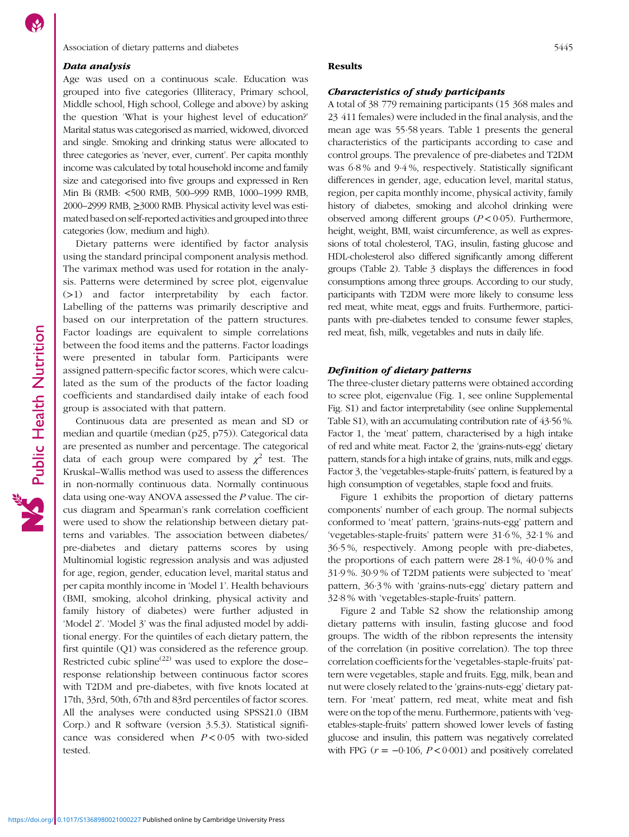# Association of dietary patterns and diabetes 5445

# Data analysis

Age was used on a continuous scale. Education was grouped into five categories (Illiteracy, Primary school, Middle school, High school, College and above) by asking the question 'What is your highest level of education?' Marital status was categorised as married, widowed, divorced and single. Smoking and drinking status were allocated to three categories as 'never, ever, current'. Per capita monthly income was calculated by total household income and family size and categorised into five groups and expressed in Ren Min Bi (RMB: <500 RMB, 500–999 RMB, 1000–1999 RMB, 2000–2999 RMB, ≥3000 RMB. Physical activity level was estimated based on self-reported activities and grouped into three categories (low, medium and high).

Dietary patterns were identified by factor analysis using the standard principal component analysis method. The varimax method was used for rotation in the analysis. Patterns were determined by scree plot, eigenvalue (>1) and factor interpretability by each factor. Labelling of the patterns was primarily descriptive and based on our interpretation of the pattern structures. Factor loadings are equivalent to simple correlations between the food items and the patterns. Factor loadings were presented in tabular form. Participants were assigned pattern-specific factor scores, which were calculated as the sum of the products of the factor loading coefficients and standardised daily intake of each food group is associated with that pattern.

Continuous data are presented as mean and SD or median and quartile (median (p25, p75)). Categorical data are presented as number and percentage. The categorical data of each group were compared by  $\chi^2$  test. The Kruskal–Wallis method was used to assess the differences in non-normally continuous data. Normally continuous data using one-way ANOVA assessed the P value. The circus diagram and Spearman's rank correlation coefficient were used to show the relationship between dietary patterns and variables. The association between diabetes/ pre-diabetes and dietary patterns scores by using Multinomial logistic regression analysis and was adjusted for age, region, gender, education level, marital status and per capita monthly income in 'Model 1'. Health behaviours (BMI, smoking, alcohol drinking, physical activity and family history of diabetes) were further adjusted in 'Model 2'. 'Model 3' was the final adjusted model by additional energy. For the quintiles of each dietary pattern, the first quintile (Q1) was considered as the reference group. Restricted cubic spline<sup>[\(22](#page-9-0))</sup> was used to explore the dose– response relationship between continuous factor scores with T2DM and pre-diabetes, with five knots located at 17th, 33rd, 50th, 67th and 83rd percentiles of factor scores. All the analyses were conducted using SPSS21.0 (IBM Corp.) and R software (version 3.5.3). Statistical significance was considered when  $P < 0.05$  with two-sided tested.

#### Results

#### Characteristics of study participants

A total of 38 779 remaining participants (15 368 males and 23 411 females) were included in the final analysis, and the mean age was 55·58 years. Table [1](#page-3-0) presents the general characteristics of the participants according to case and control groups. The prevalence of pre-diabetes and T2DM was 6·8 % and 9·4 %, respectively. Statistically significant differences in gender, age, education level, marital status, region, per capita monthly income, physical activity, family history of diabetes, smoking and alcohol drinking were observed among different groups ( $P < 0.05$ ). Furthermore, height, weight, BMI, waist circumference, as well as expressions of total cholesterol, TAG, insulin, fasting glucose and HDL-cholesterol also differed significantly among different groups (Table [2\)](#page-3-0). Table [3](#page-4-0) displays the differences in food consumptions among three groups. According to our study, participants with T2DM were more likely to consume less red meat, white meat, eggs and fruits. Furthermore, participants with pre-diabetes tended to consume fewer staples, red meat, fish, milk, vegetables and nuts in daily life.

## Definition of dietary patterns

The three-cluster dietary patterns were obtained according to scree plot, eigenvalue (Fig. [1](#page-4-0), see online Supplemental Fig. [S1](https://doi.org/10.1017/S1368980021000227)) and factor interpretability (see online Supplemental Table [S1](https://doi.org/10.1017/S1368980021000227)), with an accumulating contribution rate of 43·56 %. Factor 1, the 'meat' pattern, characterised by a high intake of red and white meat. Factor 2, the 'grains-nuts-egg' dietary pattern, stands for a high intake of grains, nuts, milk and eggs. Factor 3, the 'vegetables-staple-fruits' pattern, is featured by a high consumption of vegetables, staple food and fruits.

Figure [1](#page-4-0) exhibits the proportion of dietary patterns components' number of each group. The normal subjects conformed to 'meat' pattern, 'grains-nuts-egg' pattern and 'vegetables-staple-fruits' pattern were 31·6 %, 32·1 % and 36·5 %, respectively. Among people with pre-diabetes, the proportions of each pattern were 28·1 %, 40·0 % and 31·9 %. 30·9 % of T2DM patients were subjected to 'meat' pattern, 36·3 % with 'grains-nuts-egg' dietary pattern and 32·8 % with 'vegetables-staple-fruits' pattern.

Figure [2](#page-5-0) and Table [S2](https://doi.org/10.1017/S1368980021000227) show the relationship among dietary patterns with insulin, fasting glucose and food groups. The width of the ribbon represents the intensity of the correlation (in positive correlation). The top three correlation coefficients for the 'vegetables-staple-fruits' pattern were vegetables, staple and fruits. Egg, milk, bean and nut were closely related to the 'grains-nuts-egg' dietary pattern. For 'meat' pattern, red meat, white meat and fish were on the top of the menu. Furthermore, patients with 'vegetables-staple-fruits' pattern showed lower levels of fasting glucose and insulin, this pattern was negatively correlated with FPG  $(r = -0.106, P < 0.001)$  and positively correlated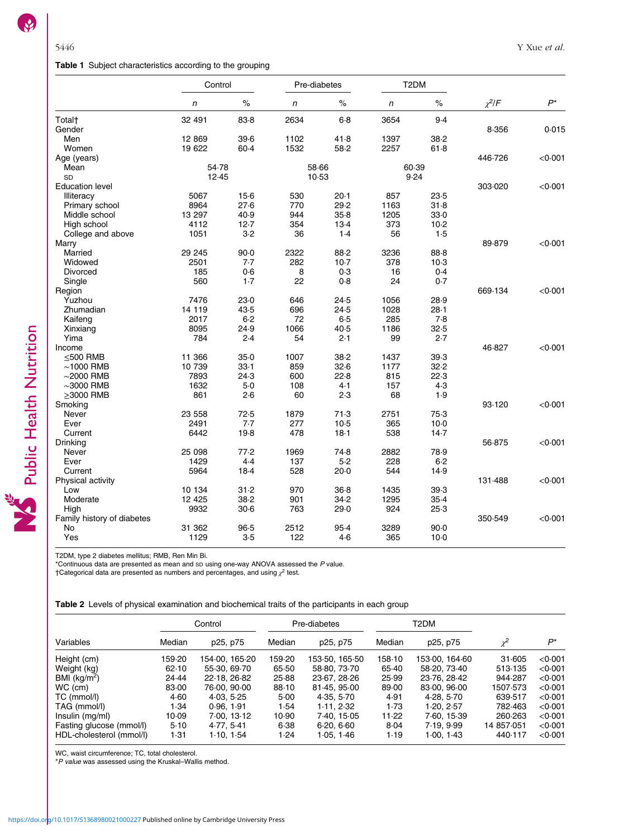# <span id="page-3-0"></span>Table 1 Subject characteristics according to the grouping

|                            | Control      |        |       | Pre-diabetes |       | T <sub>2</sub> DM |             |         |
|----------------------------|--------------|--------|-------|--------------|-------|-------------------|-------------|---------|
|                            | $\mathsf{n}$ | $\%$   | n     | $\%$         | n     | $\%$              | $\chi^2$ /F | $P^*$   |
| Total <sup>+</sup>         | 32 491       | 83.8   | 2634  | $6 - 8$      | 3654  | 9.4               |             |         |
| Gender                     |              |        |       |              |       |                   | 8.356       | 0.015   |
| Men                        | 12 869       | 39.6   | 1102  | 41.8         | 1397  | 38.2              |             |         |
| Women                      | 19 622       | 60.4   | 1532  | 58.2         | 2257  | 61.8              |             |         |
| Age (years)                |              |        |       |              |       |                   | 446.726     | < 0.001 |
| Mean                       | 54.78        |        | 58.66 |              | 60.39 |                   |             |         |
| SD                         | 12.45        |        | 10.53 |              | 9.24  |                   |             |         |
| <b>Education level</b>     |              |        |       |              |       |                   | 303.020     | < 0.001 |
| Illiteracy                 | 5067         | $15-6$ | 530   | 20.1         | 857   | 23.5              |             |         |
| Primary school             | 8964         | 27.6   | 770   | 29.2         | 1163  | 31.8              |             |         |
| Middle school              | 13 297       | 40.9   | 944   | 35.8         | 1205  | 33.0              |             |         |
| High school                | 4112         | 12.7   | 354   | 13.4         | 373   | 10.2              |             |         |
| College and above          | 1051         | $3-2$  | 36    | 1.4          | 56    | 1.5               |             |         |
| Marry                      |              |        |       |              |       |                   | 89.879      | < 0.001 |
| Married                    | 29 245       | $90-0$ | 2322  | 88.2         | 3236  | 88.8              |             |         |
| Widowed                    | 2501         | 7.7    | 282   | $10-7$       | 378   | $10-3$            |             |         |
| Divorced                   | 185          | 0.6    | 8     | 0.3          | 16    | 0.4               |             |         |
| Single                     | 560          | $1-7$  | 22    | 0.8          | 24    | 0.7               |             |         |
| Region                     |              |        |       |              |       |                   | 669.134     | < 0.001 |
| Yuzhou                     | 7476         | 23.0   | 646   | 24.5         | 1056  | 28.9              |             |         |
| Zhumadian                  | 14 119       | 43.5   | 696   | 24.5         | 1028  | 28.1              |             |         |
| Kaifeng                    | 2017         | 6.2    | 72    | 6.5          | 285   | 7.8               |             |         |
| Xinxiang                   | 8095         | 24.9   | 1066  | 40.5         | 1186  | 32.5              |             |         |
| Yima                       | 784          | 2.4    | 54    | 2.1          | 99    | 2.7               |             |         |
| Income                     |              |        |       |              |       |                   | 46.827      | < 0.001 |
| $<$ 500 RMB                | 11 366       | 35.0   | 1007  | 38.2         | 1437  | 39.3              |             |         |
| $\sim$ 1000 RMB            | 10 739       | 33.1   | 859   | 32.6         | 1177  | 32.2              |             |         |
| $\sim$ 2000 RMB            | 7893         | 24.3   | 600   | 22.8         | 815   | 22.3              |             |         |
| $\sim$ 3000 RMB            | 1632         | $5-0$  | 108   | 4.1          | 157   | 4.3               |             |         |
| $>$ 3000 RMB               | 861          | 2.6    | 60    | 2.3          | 68    | 1.9               |             |         |
|                            |              |        |       |              |       |                   | 93.120      | < 0.001 |
| Smoking<br>Never           | 23 558       | 72.5   | 1879  | 71.3         | 2751  | 75.3              |             |         |
|                            | 2491         | 7.7    | 277   | 10.5         | 365   | $10-0$            |             |         |
| Ever                       |              |        |       |              |       |                   |             |         |
| Current                    | 6442         | 19.8   | 478   | $18-1$       | 538   | 14.7              |             |         |
| Drinking                   |              |        |       |              |       |                   | 56.875      | < 0.001 |
| Never                      | 25 098       | 77.2   | 1969  | 74.8         | 2882  | 78.9              |             |         |
| Ever                       | 1429         | 4.4    | 137   | 5.2          | 228   | 6.2               |             |         |
| Current                    | 5964         | 18.4   | 528   | 20.0         | 544   | 14.9              |             |         |
| Physical activity          |              |        |       |              |       |                   | 131.488     | < 0.001 |
| Low                        | 10 134       | 31.2   | 970   | 36.8         | 1435  | 39.3              |             |         |
| Moderate                   | 12 4 25      | 38.2   | 901   | 34.2         | 1295  | 35.4              |             |         |
| High                       | 9932         | $30-6$ | 763   | 29.0         | 924   | 25.3              |             |         |
| Family history of diabetes |              |        |       |              |       |                   | 350.549     | < 0.001 |
| No                         | 31 362       | 96.5   | 2512  | 95.4         | 3289  | 90.0              |             |         |
| Yes                        | 1129         | 3.5    | 122   | 4.6          | 365   | $10-0$            |             |         |

T2DM, type 2 diabetes mellitus; RMB, Ren Min Bi.

\*Continuous data are presented as mean and SD using one-way ANOVA assessed the P value.

†Categorical data are presented as numbers and percentages, and using  $\chi^2$  test.

|  |  |  | <b>Table 2</b> Levels of physical examination and biochemical traits of the participants in each group |  |
|--|--|--|--------------------------------------------------------------------------------------------------------|--|
|  |  |  |                                                                                                        |  |

|                          |        | Control        |        | Pre-diabetes   | T2DM   |                            |               |         |
|--------------------------|--------|----------------|--------|----------------|--------|----------------------------|---------------|---------|
| Variables                | Median | p25, p75       | Median | p25, p75       | Median | p25, p75                   | $\mathcal{L}$ | D*      |
| Height (cm)              | 159.20 | 154.00. 165.20 | 159.20 | 153 50. 165 50 | 158.10 | 153.00. 164.60             | 31.605        | < 0.001 |
| Weight (kg)              | 62.10  | 55.30, 69.70   | 65.50  | 58-80, 73-70   | 65.40  | 58.20, 73.40               | 513-135       | < 0.001 |
| BMI ( $kg/m2$ )          | 24.44  | 22.18, 26.82   | 25.88  | 23.67, 28.26   | 25.99  | 23.76, 28.42               | 944.287       | < 0.001 |
| WC (cm)                  | 83.00  | 76.00, 90.00   | 88.10  | 81.45, 95.00   | 89.00  | 83.00, 96.00               | 1507.573      | < 0.001 |
| TC (mmol/l)              | 4.60   | 4.03, 5.25     | 5.00   | 4.35, 5.70     | 4.91   | 4.28.5.70                  | 639.517       | < 0.001 |
| TAG (mmol/l)             | 1.34   | 0.96, 1.91     | 1.54   | 1.11.2.32      | 1.73   | 1.20.2.57                  | 782.463       | < 0.001 |
| Insulin (mg/ml)          | 10.09  | 7.00.13.12     | 10.90  | 7.40. 15.05    | 11.22  | 7.60, 15.39                | 260.263       | < 0.001 |
| Fasting glucose (mmol/l) | 5.10   | 4.77, 5.41     | 6.38   | 6.20, 6.60     | 8.04   | 7.19.999                   | 14 857.051    | < 0.001 |
| HDL-cholesterol (mmol/l) | 1.31   | 1.10, 1.54     | 1.24   | 1.05, 1.46     | 1.19   | 1 $\cdot$ 00, 1 $\cdot$ 43 | 440.117       | < 0.001 |

WC, waist circumference; TC, total cholesterol.

\*P value was assessed using the Kruskal–Wallis method.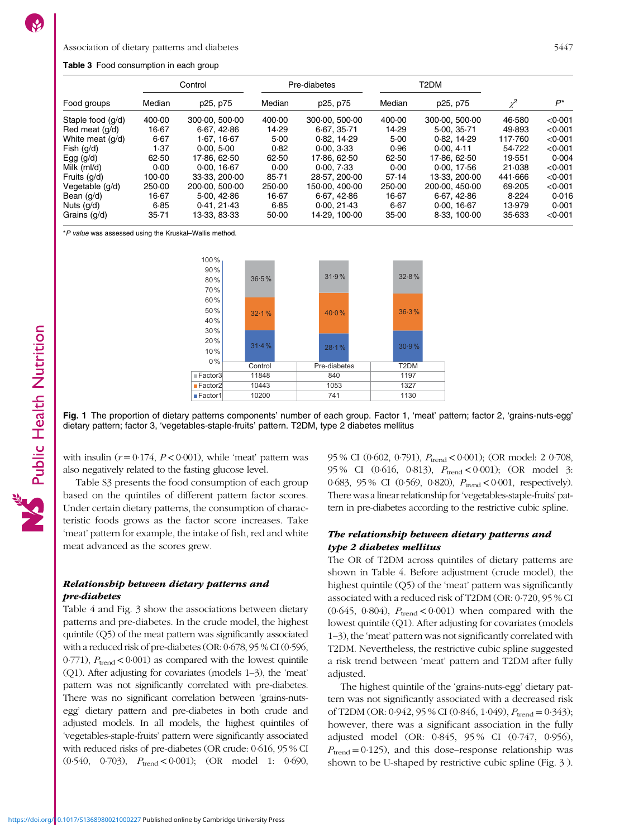#### <span id="page-4-0"></span>Association of dietary patterns and diabetes 5447

#### Table 3 Food consumption in each group

|                   | Control |                |        | Pre-diabetes   |        | T2DM           |            |         |
|-------------------|---------|----------------|--------|----------------|--------|----------------|------------|---------|
| Food groups       | Median  | p25, p75       | Median | p25, p75       | Median | p25, p75       | $\gamma^2$ | P*      |
| Staple food (q/d) | 400.00  | 300.00, 500.00 | 400.00 | 300.00, 500.00 | 400.00 | 300.00, 500.00 | 46.580     | < 0.001 |
| Red meat (q/d)    | 16.67   | 6.67, 42.86    | 14.29  | 6.67, 35.71    | 14.29  | 5.00.35.71     | 49.893     | <0.001  |
| White meat (g/d)  | 6.67    | 1.67.16.67     | 5.00   | 0.82, 14.29    | 5.00   | 0.82, 14.29    | 117.760    | < 0.001 |
| Fish $(g/d)$      | 1.37    | 0.00, 5.00     | 0.82   | 0.00, 3.33     | 0.96   | 0.00.411       | 54.722     | < 0.001 |
| Egg $(g/d)$       | 62.50   | 17.86. 62.50   | 62.50  | 17.86. 62.50   | 62.50  | 17.86, 62.50   | 19.551     | 0.004   |
| Milk (ml/d)       | 0.00    | 0.00, 16.67    | 0.00   | 0.00, 7.33     | 0.00   | 0.00, 17.56    | 21.038     | < 0.001 |
| Fruits (g/d)      | 100.00  | 33.33.200.00   | 85.71  | 28.57, 200.00  | 57.14  | 13.33, 200.00  | 441.666    | < 0.001 |
| Vegetable (g/d)   | 250.00  | 200.00, 500.00 | 250.00 | 150.00, 400.00 | 250.00 | 200.00, 450.00 | 69.205     | < 0.001 |
| Bean (q/d)        | 16.67   | 5.00, 42.86    | 16.67  | 6.67, 42.86    | 16.67  | 6.67, 42.86    | 8.224      | 0.016   |
| Nuts (g/d)        | 6.85    | 0.41.21.43     | 6.85   | 0.00, 21.43    | 6.67   | 0.00, 16.67    | 13.979     | 0.001   |
| Grains (q/d)      | 35.71   | 13.33. 83.33   | 50.00  | 14.29. 100.00  | 35.00  | 8-33, 100-00   | 35.633     | < 0.001 |

\*P value was assessed using the Kruskal–Wallis method.



Fig. 1 The proportion of dietary patterns components' number of each group. Factor 1, 'meat' pattern; factor 2, 'grains-nuts-egg' dietary pattern; factor 3, 'vegetables-staple-fruits' pattern. T2DM, type 2 diabetes mellitus

with insulin  $(r = 0.174, P < 0.001)$ , while 'meat' pattern was also negatively related to the fasting glucose level.

Table [S3](https://doi.org/10.1017/S1368980021000227) presents the food consumption of each group based on the quintiles of different pattern factor scores. Under certain dietary patterns, the consumption of characteristic foods grows as the factor score increases. Take 'meat' pattern for example, the intake of fish, red and white meat advanced as the scores grew.

# Relationship between dietary patterns and pre-diabetes

Table [4](#page-7-0) and Fig. [3](#page-6-0) show the associations between dietary patterns and pre-diabetes. In the crude model, the highest quintile (Q5) of the meat pattern was significantly associated with a reduced risk of pre-diabetes (OR: 0·678, 95 % CI (0·596, 0.771),  $P_{\text{trend}} < 0.001$  as compared with the lowest quintile (Q1). After adjusting for covariates (models 1–3), the 'meat' pattern was not significantly correlated with pre-diabetes. There was no significant correlation between 'grains-nutsegg' dietary pattern and pre-diabetes in both crude and adjusted models. In all models, the highest quintiles of 'vegetables-staple-fruits' pattern were significantly associated with reduced risks of pre-diabetes (OR crude: 0·616, 95 % CI  $(0.540, 0.703), P_{trend} < 0.001$ ;  $(OR model 1: 0.690,$  95 % CI (0.602, 0.791),  $P_{trend} < 0.001$ ); (OR model: 2 0.708, 95 % CI (0.616, 0.813),  $P_{trend} < 0.001$ ); (OR model 3: 0.683, 95 % CI (0.569, 0.820),  $P_{trend} < 0.001$ , respectively). There was a linear relationship for'vegetables-staple-fruits' pattern in pre-diabetes according to the restrictive cubic spline.

# The relationship between dietary patterns and type 2 diabetes mellitus

The OR of T2DM across quintiles of dietary patterns are shown in Table [4](#page-7-0). Before adjustment (crude model), the highest quintile (Q5) of the 'meat' pattern was significantly associated with a reduced risk of T2DM (OR: 0·720, 95 % CI (0.645, 0.804),  $P_{\text{trend}} < 0.001$ ) when compared with the lowest quintile (Q1). After adjusting for covariates (models 1–3), the 'meat' pattern was not significantly correlated with T2DM. Nevertheless, the restrictive cubic spline suggested a risk trend between 'meat' pattern and T2DM after fully adjusted.

The highest quintile of the 'grains-nuts-egg' dietary pattern was not significantly associated with a decreased risk of T2DM (OR: 0.942, 95 % CI (0.846, 1.049),  $P_{\text{trend}} = 0.343$ ); however, there was a significant association in the fully adjusted model (OR: 0·845, 95 % CI (0·747, 0·956),  $P_{\text{trend}} = 0.125$ , and this dose–response relationship was shown to be U-shaped by restrictive cubic spline (Fig. [3](#page-6-0) ).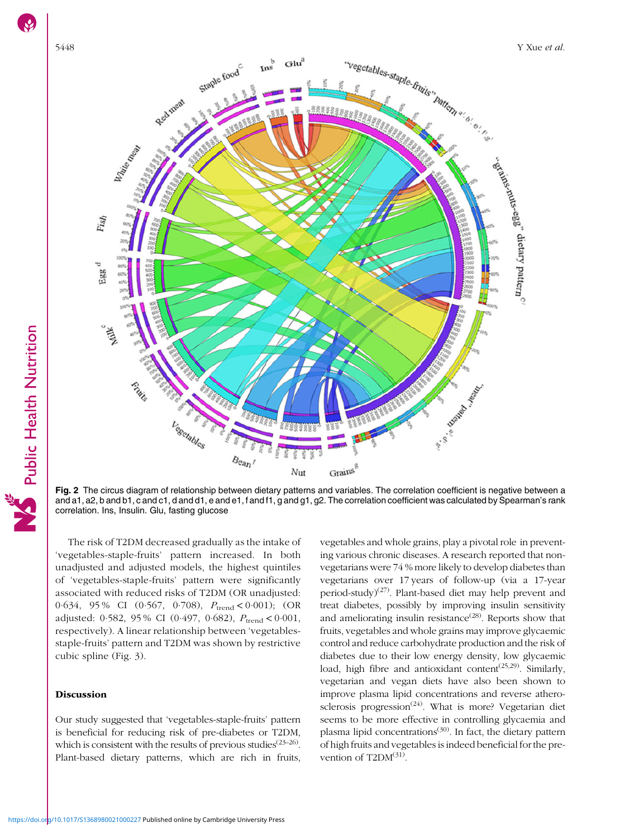<span id="page-5-0"></span>

**Fig. 2** The circus diagram of relationship between dietary patterns and variables. The correlation coefficient is negative between a<br>and a1, a2, b and b1, c and c1, d and d1, e and e1, f and f1, g and g1, g2. The correlat correlation. Ins, Insulin. Glu, fasting glucose

The risk of T2DM decreased gradually as the intake of 'vegetables-staple-fruits' pattern increased. In both unadjusted and adjusted models, the highest quintiles of 'vegetables-staple-fruits' pattern were significantly associated with reduced risks of T2DM (OR unadjusted: 0.634, 95% CI (0.567, 0.708),  $P_{\text{trend}} < 0.001$ ); (OR adjusted: 0.582, 95 % CI (0.497, 0.682),  $P_{\text{trend}} < 0.001$ , respectively). A linear relationship between 'vegetablesstaple-fruits' pattern and T2DM was shown by restrictive cubic spline (Fig. [3](#page-6-0)).

# Discussion

Our study suggested that 'vegetables-staple-fruits' pattern is beneficial for reducing risk of pre-diabetes or T2DM, which is consistent with the results of previous studies<sup> $(23-26)$  $(23-26)$  $(23-26)$  $(23-26)$  $(23-26)$ </sup>. Plant-based dietary patterns, which are rich in fruits, vegetables and whole grains, play a pivotal role in preventing various chronic diseases. A research reported that nonvegetarians were 74 % more likely to develop diabetes than vegetarians over 17 years of follow-up (via a 17-year period-study)<sup>([27](#page-9-0))</sup>. Plant-based diet may help prevent and treat diabetes, possibly by improving insulin sensitivity and ameliorating insulin resistance<sup> $(28)$  $(28)$  $(28)$ </sup>. Reports show that fruits, vegetables and whole grains may improve glycaemic control and reduce carbohydrate production and the risk of diabetes due to their low energy density, low glycaemic load, high fibre and antioxidant content<sup>([25](#page-9-0),[29\)](#page-9-0)</sup>. Similarly, vegetarian and vegan diets have also been shown to improve plasma lipid concentrations and reverse athero-sclerosis progression<sup>[\(24\)](#page-9-0)</sup>. What is more? Vegetarian diet seems to be more effective in controlling glycaemia and plasma lipid concentrations<sup> $(30)$  $(30)$ </sup>. In fact, the dietary pattern of high fruits and vegetables is indeed beneficial for the prevention of  $T2DM^{(31)}$  $T2DM^{(31)}$  $T2DM^{(31)}$ .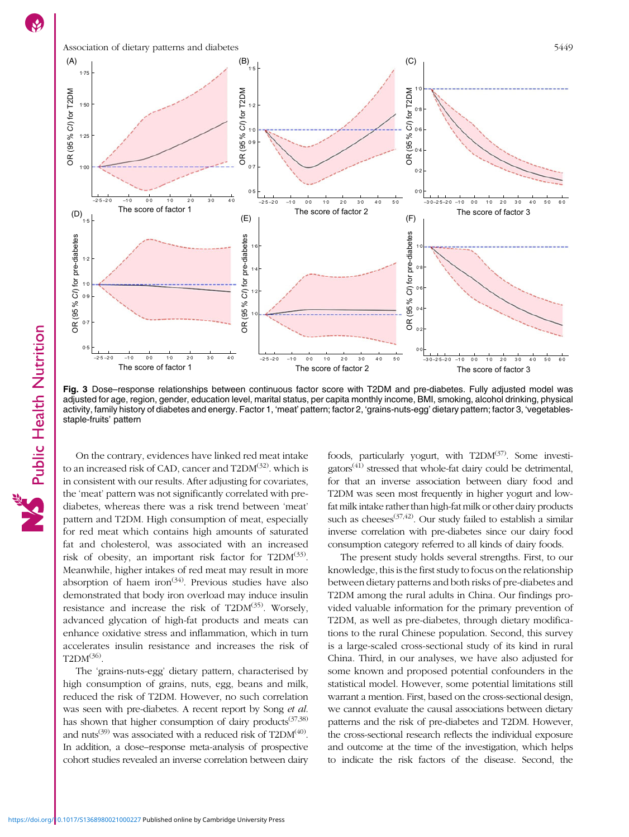<span id="page-6-0"></span>

Fig. 3 Dose–response relationships between continuous factor score with T2DM and pre-diabetes. Fully adjusted model was adjusted for age, region, gender, education level, marital status, per capita monthly income, BMI, smoking, alcohol drinking, physical activity, family history of diabetes and energy. Factor 1, 'meat' pattern; factor 2, 'grains-nuts-egg' dietary pattern; factor 3, 'vegetablesstaple-fruits' pattern

On the contrary, evidences have linked red meat intake to an increased risk of CAD, cancer and T2DM<sup>([32](#page-9-0))</sup>. which is in consistent with our results. After adjusting for covariates, the 'meat' pattern was not significantly correlated with prediabetes, whereas there was a risk trend between 'meat' pattern and T2DM. High consumption of meat, especially for red meat which contains high amounts of saturated fat and cholesterol, was associated with an increased risk of obesity, an important risk factor for  $T2DM^{(33)}$  $T2DM^{(33)}$  $T2DM^{(33)}$ . Meanwhile, higher intakes of red meat may result in more absorption of haem iron<sup> $(34)$  $(34)$ </sup>. Previous studies have also demonstrated that body iron overload may induce insulin resistance and increase the risk of  $T2DM^{(35)}$  $T2DM^{(35)}$  $T2DM^{(35)}$ . Worsely, advanced glycation of high-fat products and meats can enhance oxidative stress and inflammation, which in turn accelerates insulin resistance and increases the risk of  $T2DM^{(36)}$  $T2DM^{(36)}$  $T2DM^{(36)}$ .

The 'grains-nuts-egg' dietary pattern, characterised by high consumption of grains, nuts, egg, beans and milk, reduced the risk of T2DM. However, no such correlation was seen with pre-diabetes. A recent report by Song et al. has shown that higher consumption of dairy products $(37,38)$ and nuts<sup>[\(39\)](#page-9-0)</sup> was associated with a reduced risk of  $T2DM<sup>(40)</sup>$  $T2DM<sup>(40)</sup>$  $T2DM<sup>(40)</sup>$ . In addition, a dose–response meta-analysis of prospective cohort studies revealed an inverse correlation between dairy foods, particularly yogurt, with T2DM<sup>[\(37](#page-9-0))</sup>. Some investi- $gators<sup>(41)</sup>$  $gators<sup>(41)</sup>$  $gators<sup>(41)</sup>$  stressed that whole-fat dairy could be detrimental, for that an inverse association between diary food and T2DM was seen most frequently in higher yogurt and lowfat milk intake rather than high-fat milk or other dairy products such as cheeses<sup>[\(37,42](#page-9-0))</sup>. Our study failed to establish a similar inverse correlation with pre-diabetes since our dairy food consumption category referred to all kinds of dairy foods.

The present study holds several strengths. First, to our knowledge, this is the first study to focus on the relationship between dietary patterns and both risks of pre-diabetes and T2DM among the rural adults in China. Our findings provided valuable information for the primary prevention of T2DM, as well as pre-diabetes, through dietary modifications to the rural Chinese population. Second, this survey is a large-scaled cross-sectional study of its kind in rural China. Third, in our analyses, we have also adjusted for some known and proposed potential confounders in the statistical model. However, some potential limitations still warrant a mention. First, based on the cross-sectional design, we cannot evaluate the causal associations between dietary patterns and the risk of pre-diabetes and T2DM. However, the cross-sectional research reflects the individual exposure and outcome at the time of the investigation, which helps to indicate the risk factors of the disease. Second, the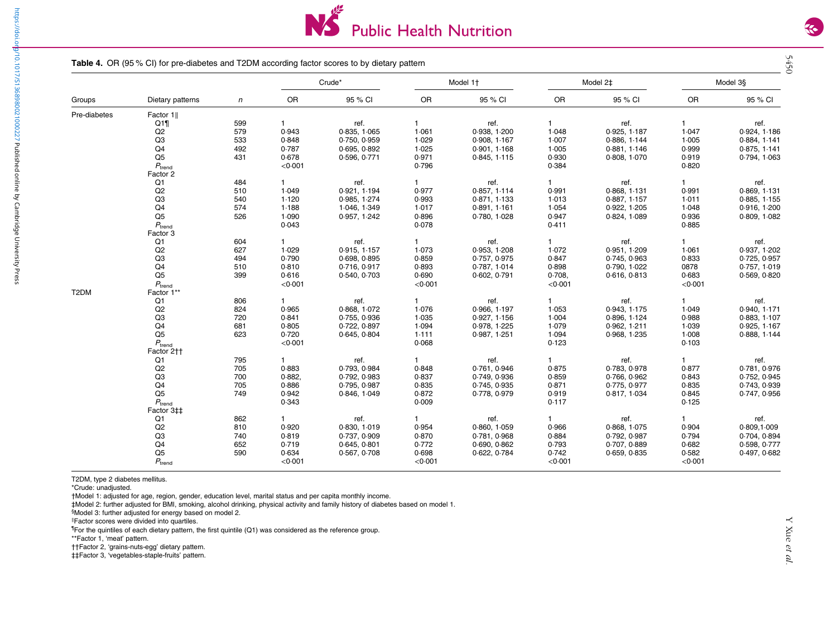

#### Table 4. OR (95 % CI) for pre-diabetes and T2DM according factor scores to by dietary pattern

|              | Dietary patterns   |            |              |              | Crude*       |              | Model 1+     |              | Model 2 <sup>±</sup> |              | Model 3§ |
|--------------|--------------------|------------|--------------|--------------|--------------|--------------|--------------|--------------|----------------------|--------------|----------|
| Groups       |                    | $\sqrt{n}$ | OR           | 95 % CI      | OR           | 95 % CI      | OR           | 95 % CI      | OR                   | 95 % CI      |          |
| Pre-diabetes | Factor 1           |            |              |              |              |              |              |              |                      |              |          |
|              | Q1                 | 599<br>579 | $\mathbf{1}$ | ref.         | $\mathbf{1}$ | ref.         | $\mathbf{1}$ | ref.         | $\mathbf{1}$         | ref.         |          |
|              | Q2                 |            | 0.943        | 0.835, 1.065 | 1.061        | 0.938, 1.200 | 1.048        | 0.925, 1.187 | 1.047                | 0.924, 1.186 |          |
|              | Q <sub>3</sub>     | 533        | 0.848        | 0.750, 0.959 | 1.029        | 0.908, 1.167 | 1.007        | 0.886, 1.144 | 1.005                | 0.884, 1.141 |          |
|              | Q4                 | 492        | 0.787        | 0.695, 0.892 | 1.025        | 0.901, 1.168 | 1.005        | 0.881, 1.146 | 0.999                | 0.875, 1.141 |          |
|              | $\overline{Q5}$    | 431        | 0.678        | 0.596, 0.771 | 0.971        | 0.845, 1.115 | 0.930        | 0.808, 1.070 | 0.919                | 0.794, 1.063 |          |
|              | $P_{\text{trend}}$ |            | < 0.001      |              | 0.796        |              | 0.384        |              | 0.820                |              |          |
|              | Factor 2           |            |              |              |              |              |              |              |                      |              |          |
|              | Q1                 | 484        | $\mathbf{1}$ | ref.         |              | ref.         | 1            | ref.         | $\mathbf{1}$         | ref.         |          |
|              | Q2                 | 510        | 1.049        | 0.921, 1.194 | 0.977        | 0.857, 1.114 | 0.991        | 0.868, 1.131 | 0.991                | 0.869, 1.131 |          |
|              | Q <sub>3</sub>     | 540        | 1.120        | 0.985, 1.274 | 0.993        | 0.871, 1.133 | 1.013        | 0.887, 1.157 | 1.011                | 0.885, 1.155 |          |
|              | Q <sub>4</sub>     | 574        | 1.188        | 1.046, 1.349 | 1.017        | 0.891, 1.161 | 1.054        | 0.922, 1.205 | 1.048                | 0.916, 1.200 |          |
|              | Q <sub>5</sub>     | 526        | 1.090        | 0.957, 1.242 | 0.896        | 0.780, 1.028 | 0.947        | 0.824, 1.089 | 0.936                | 0.809, 1.082 |          |
|              |                    |            | 0.043        |              |              |              | 0.411        |              | 0.885                |              |          |
|              | $P_{\rm trend}$    |            |              |              | 0.078        |              |              |              |                      |              |          |
|              | Factor 3           | 604        |              |              |              |              | 1            |              | $\mathbf{1}$         |              |          |
|              | Q1                 |            | $\mathbf{1}$ | ref.         | $\mathbf{1}$ | ref.         |              | ref.         |                      | ref.         |          |
|              | Q2                 | 627        | 1.029        | 0.915, 1.157 | 1.073        | 0.953, 1.208 | 1.072        | 0.951, 1.209 | 1.061                | 0.937, 1.202 |          |
|              | Q <sub>3</sub>     | 494        | 0.790        | 0.698, 0.895 | 0.859        | 0.757, 0.975 | 0.847        | 0.745, 0.963 | 0.833                | 0.725, 0.957 |          |
|              | Q <sub>4</sub>     | 510        | 0.810        | 0.716, 0.917 | 0.893        | 0.787, 1.014 | 0.898        | 0.790, 1.022 | 0878                 | 0.757, 1.019 |          |
|              | Q <sub>5</sub>     | 399        | 0.616        | 0.540, 0.703 | 0.690        | 0.602, 0.791 | 0.708        | 0.616, 0.813 | 0.683                | 0.569, 0.820 |          |
|              | $P_{\text{trend}}$ |            | < 0.001      |              | < 0.001      |              | < 0.001      |              | < 0.001              |              |          |
| T2DM         | Factor 1**         |            |              |              |              |              |              |              |                      |              |          |
|              | Q1                 | 806        | 1.           | ref.         | $\mathbf{1}$ | ref.         | 1            | ref.         | $\mathbf{1}$         | ref.         |          |
|              | Q2                 | 824        | 0.965        | 0.868, 1.072 | 1.076        | 0.966, 1.197 | 1.053        | 0.943, 1.175 | 1.049                | 0.940, 1.171 |          |
|              | Q <sub>3</sub>     | 720        | 0.841        | 0.755, 0.936 | 1.035        | 0.927, 1.156 | 1.004        | 0.896, 1.124 | 0.988                | 0.883, 1.107 |          |
|              | Q <sub>4</sub>     | 681        | 0.805        | 0.722, 0.897 | 1.094        | 0.978, 1.225 | 1.079        | 0.962, 1.211 | 1.039                | 0.925, 1.167 |          |
|              | Q <sub>5</sub>     | 623        | 0.720        | 0.645, 0.804 | 1.111        | 0.987, 1.251 | 1.094        | 0.968, 1.235 | 1.008                | 0.888, 1.144 |          |
|              | $P_{\text{trend}}$ |            | < 0.001      |              | 0.068        |              | 0.123        |              | 0.103                |              |          |
|              | Factor 2++         |            |              |              |              |              |              |              |                      |              |          |
|              | Q1                 | 795        | $\mathbf{1}$ | ref.         | $\mathbf{1}$ | ref.         | 1            | ref.         | 1                    | ref.         |          |
|              | Q2                 | 705        | 0.883        | 0.793, 0.984 | 0.848        | 0.761, 0.946 | 0.875        | 0.783, 0.978 | 0.877                | 0.781, 0.976 |          |
|              | Q <sub>3</sub>     | 700        | 0.882,       | 0.792, 0.983 | 0.837        | 0.749, 0.936 | 0.859        | 0.766, 0.962 | 0.843                | 0.752, 0.945 |          |
|              | Q4                 | 705        | 0.886        | 0.795, 0.987 | 0.835        | 0.745, 0.935 | 0.871        | 0.775, 0.977 | 0.835                | 0.743, 0.939 |          |
|              | Q <sub>5</sub>     | 749        | 0.942        | 0.846, 1.049 | 0.872        | 0.778, 0.979 | 0.919        | 0.817, 1.034 | 0.845                | 0.747, 0.956 |          |
|              | $P_{\text{trend}}$ |            | 0.343        |              | 0.009        |              | 0.117        |              | 0.125                |              |          |
|              | Factor 3‡‡         |            |              |              |              |              |              |              |                      |              |          |
|              | Q1                 | 862        | 1.           | ref.         |              | ref.         | 1            | ref.         | $\mathbf{1}$         | ref.         |          |
|              | Q2                 | 810        | 0.920        | 0.830, 1.019 | 0.954        | 0.860, 1.059 | 0.966        | 0.868, 1.075 | 0.904                | 0.809, 1.009 |          |
|              | Q <sub>3</sub>     | 740        | 0.819        | 0.737, 0.909 | 0.870        | 0.781, 0.968 | 0.884        | 0.792, 0.987 | 0.794                | 0.704, 0.894 |          |
|              | Q4                 | 652        | 0.719        | 0.645, 0.801 | 0.772        | 0.690, 0.862 | 0.793        | 0.707, 0.889 | 0.682                | 0.598, 0.777 |          |
|              | Q <sub>5</sub>     | 590        | 0.634        | 0.567, 0.708 | 0.698        | 0.622, 0.784 | 0.742        | 0.659, 0.835 | 0.582                | 0.497, 0.682 |          |
|              | $P_{\text{trend}}$ |            | < 0.001      |              | < 0.001      |              | < 0.001      |              | < 0.001              |              |          |

T2DM, type 2 diabetes mellitus.

\*Crude: unadjusted.

<https://doi.org/10.1017/S1368980021000227>Published online by Cambridge University Press

<span id="page-7-0"></span>https://doi.ol<mark>t</mark>/10.1017/S1368980021000227 Published online by Cambridge University Press

†Model 1: adjusted for age, region, gender, education level, marital status and per capita monthly income.

‡Model 2: further adjusted for BMI, smoking, alcohol drinking, physical activity and family history of diabetes based on model 1. §Model 3: further adjusted for energy based on model 2.

‖Factor scores were divided into quartiles.

¶For the quintiles of each dietary pattern, the first quintile (Q1) was considered as the reference group.

\*\*Factor 1, 'meat' pattern.

††Factor 2, 'grains-nuts-egg' dietary pattern.

‡‡Factor 3, 'vegetables-staple-fruits' pattern.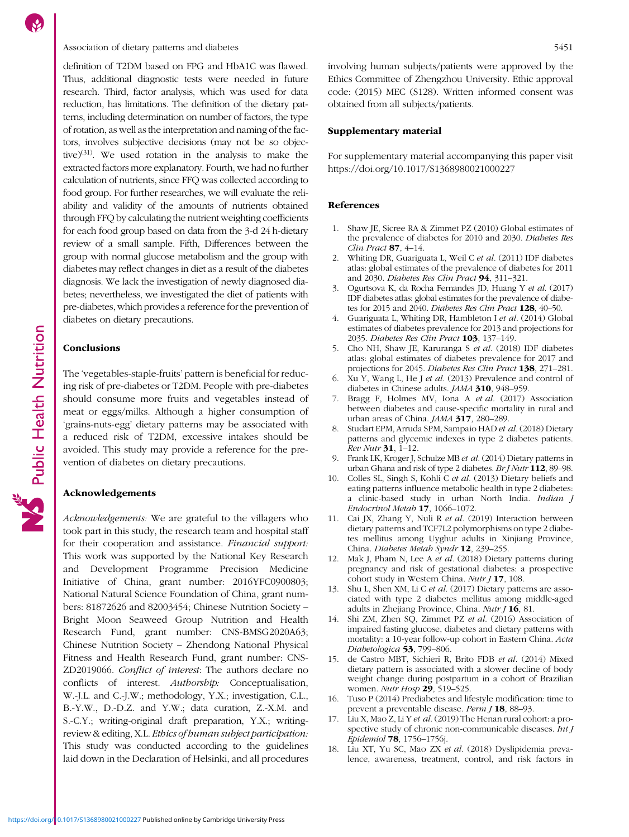# <span id="page-8-0"></span>Association of dietary patterns and diabetes 5451

definition of T2DM based on FPG and HbA1C was flawed. Thus, additional diagnostic tests were needed in future research. Third, factor analysis, which was used for data reduction, has limitations. The definition of the dietary patterns, including determination on number of factors, the type of rotation, as well as the interpretation and naming of the factors, involves subjective decisions (may not be so objective) $(31)$  $(31)$  $(31)$ . We used rotation in the analysis to make the extracted factors more explanatory. Fourth, we had no further calculation of nutrients, since FFQ was collected according to food group. For further researches, we will evaluate the reliability and validity of the amounts of nutrients obtained through FFQ by calculating the nutrient weighting coefficients for each food group based on data from the 3-d 24 h-dietary review of a small sample. Fifth, Differences between the group with normal glucose metabolism and the group with diabetes may reflect changes in diet as a result of the diabetes diagnosis. We lack the investigation of newly diagnosed diabetes; nevertheless, we investigated the diet of patients with pre-diabetes, which provides a reference for the prevention of diabetes on dietary precautions.

# **Conclusions**

The 'vegetables-staple-fruits' pattern is beneficial for reducing risk of pre-diabetes or T2DM. People with pre-diabetes should consume more fruits and vegetables instead of meat or eggs/milks. Although a higher consumption of 'grains-nuts-egg' dietary patterns may be associated with a reduced risk of T2DM, excessive intakes should be avoided. This study may provide a reference for the prevention of diabetes on dietary precautions.

# Acknowledgements

Acknowledgements: We are grateful to the villagers who took part in this study, the research team and hospital staff for their cooperation and assistance. Financial support: This work was supported by the National Key Research and Development Programme Precision Medicine Initiative of China, grant number: 2016YFC0900803; National Natural Science Foundation of China, grant numbers: 81872626 and 82003454; Chinese Nutrition Society – Bright Moon Seaweed Group Nutrition and Health Research Fund, grant number: CNS-BMSG2020A63; Chinese Nutrition Society – Zhendong National Physical Fitness and Health Research Fund, grant number: CNS-ZD2019066. Conflict of interest: The authors declare no conflicts of interest. Authorship: Conceptualisation, W.-J.L. and C.-J.W.; methodology, Y.X.; investigation, C.L., B.-Y.W., D.-D.Z. and Y.W.; data curation, Z.-X.M. and S.-C.Y.; writing-original draft preparation, Y.X.; writingreview & editing, X.L. Ethics of human subject participation: This study was conducted according to the guidelines laid down in the Declaration of Helsinki, and all procedures

involving human subjects/patients were approved by the Ethics Committee of Zhengzhou University. Ethic approval code: (2015) MEC (S128). Written informed consent was obtained from all subjects/patients.

### Supplementary material

For supplementary material accompanying this paper visit <https://doi.org/10.1017/S1368980021000227>

# References

- 1. Shaw JE, Sicree RA & Zimmet PZ (2010) Global estimates of the prevalence of diabetes for 2010 and 2030. Diabetes Res Clin Pract 87, 4–14.
- 2. Whiting DR, Guariguata L, Weil C et al. (2011) IDF diabetes atlas: global estimates of the prevalence of diabetes for 2011 and 2030. Diabetes Res Clin Pract 94, 311–321.
- 3. Ogurtsova K, da Rocha Fernandes JD, Huang Y et al. (2017) IDF diabetes atlas: global estimates for the prevalence of diabetes for 2015 and 2040. Diabetes Res Clin Pract 128, 40-50.
- 4. Guariguata L, Whiting DR, Hambleton I et al. (2014) Global estimates of diabetes prevalence for 2013 and projections for 2035. Diabetes Res Clin Pract 103, 137-149.
- 5. Cho NH, Shaw JE, Karuranga S et al. (2018) IDF diabetes atlas: global estimates of diabetes prevalence for 2017 and projections for 2045. Diabetes Res Clin Pract 138, 271–281.
- 6. Xu Y, Wang L, He J et al. (2013) Prevalence and control of diabetes in Chinese adults. JAMA 310, 948-959.
- 7. Bragg F, Holmes MV, Iona A et al. (2017) Association between diabetes and cause-specific mortality in rural and urban areas of China. *JAMA* 317, 280-289.
- 8. Studart EPM, Arruda SPM, Sampaio HAD et al. (2018) Dietary patterns and glycemic indexes in type 2 diabetes patients. Rev Nutr 31, 1–12.
- 9. Frank LK, Kroger J, Schulze MB et al. (2014) Dietary patterns in urban Ghana and risk of type 2 diabetes. Br J Nutr 112, 89-98.
- 10. Colles SL, Singh S, Kohli C et al. (2013) Dietary beliefs and eating patterns influence metabolic health in type 2 diabetes: a clinic-based study in urban North India. Indian J Endocrinol Metab 17, 1066–1072.
- 11. Cai JX, Zhang Y, Nuli R et al. (2019) Interaction between dietary patterns and TCF7L2 polymorphisms on type 2 diabetes mellitus among Uyghur adults in Xinjiang Province, China. Diabetes Metab Syndr 12, 239–255.
- 12. Mak J, Pham N, Lee A et al. (2018) Dietary patterns during pregnancy and risk of gestational diabetes: a prospective cohort study in Western China. Nutr  $J$  17, 108.
- 13. Shu L, Shen XM, Li C et al. (2017) Dietary patterns are associated with type 2 diabetes mellitus among middle-aged adults in Zhejiang Province, China.  $Nutr J$  16, 81.
- 14. Shi ZM, Zhen SQ, Zimmet PZ et al. (2016) Association of impaired fasting glucose, diabetes and dietary patterns with mortality: a 10-year follow-up cohort in Eastern China. Acta Diabetologica 53, 799-806.
- 15. de Castro MBT, Sichieri R, Brito FDB et al. (2014) Mixed dietary pattern is associated with a slower decline of body weight change during postpartum in a cohort of Brazilian women. Nutr Hosp 29, 519-525.
- 16. Tuso P (2014) Prediabetes and lifestyle modification: time to prevent a preventable disease. Perm J 18, 88-93.
- 17. Liu X, Mao Z, Li Y et al. (2019) The Henan rural cohort: a prospective study of chronic non-communicable diseases. Int J Epidemiol 78, 1756–1756j.
- 18. Liu XT, Yu SC, Mao ZX et al. (2018) Dyslipidemia prevalence, awareness, treatment, control, and risk factors in